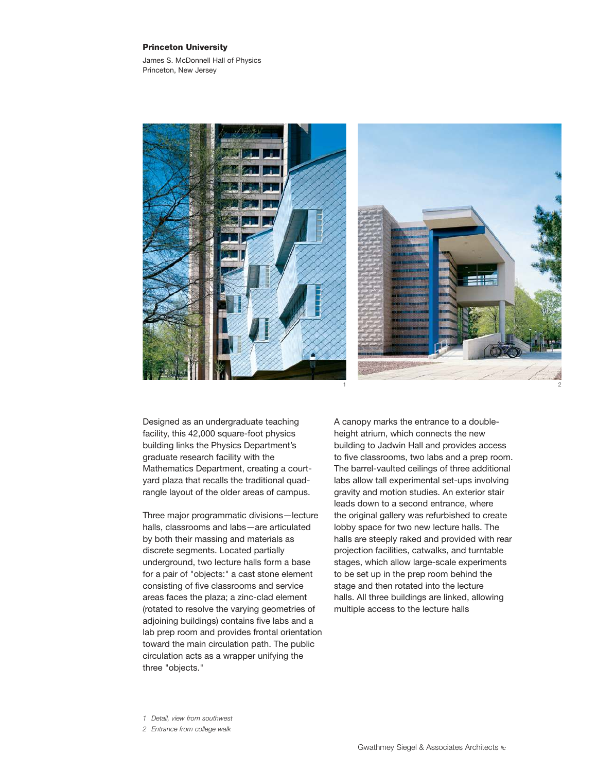## Princeton University

James S. McDonnell Hall of Physics Princeton, New Jersey





Designed as an undergraduate teaching facility, this 42,000 square-foot physics building links the Physics Department's graduate research facility with the Mathematics Department, creating a courtyard plaza that recalls the traditional quadrangle layout of the older areas of campus.

Three major programmatic divisions—lecture halls, classrooms and labs—are articulated by both their massing and materials as discrete segments. Located partially underground, two lecture halls form a base for a pair of "objects:" a cast stone element consisting of five classrooms and service areas faces the plaza; a zinc-clad element (rotated to resolve the varying geometries of adjoining buildings) contains five labs and a lab prep room and provides frontal orientation toward the main circulation path. The public circulation acts as a wrapper unifying the three "objects."

A canopy marks the entrance to a doubleheight atrium, which connects the new building to Jadwin Hall and provides access to five classrooms, two labs and a prep room. The barrel-vaulted ceilings of three additional labs allow tall experimental set-ups involving gravity and motion studies. An exterior stair leads down to a second entrance, where the original gallery was refurbished to create lobby space for two new lecture halls. The halls are steeply raked and provided with rear projection facilities, catwalks, and turntable stages, which allow large-scale experiments to be set up in the prep room behind the stage and then rotated into the lecture halls. All three buildings are linked, allowing multiple access to the lecture halls

- *1 Detail, view from southwest*
- *2 Entrance from college walk*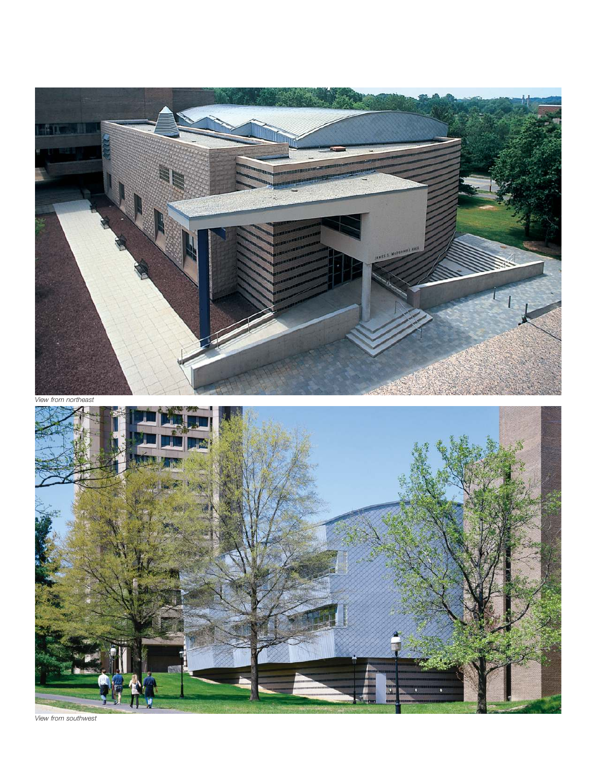

*View from southwest*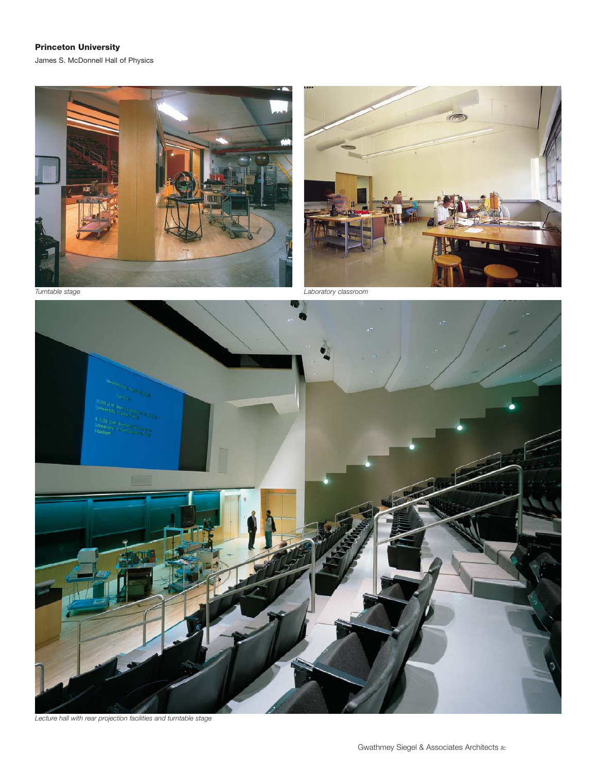## Princeton University

James S. McDonnell Hall of Physics







*Lecture hall with rear projection facilities and turntable stage*